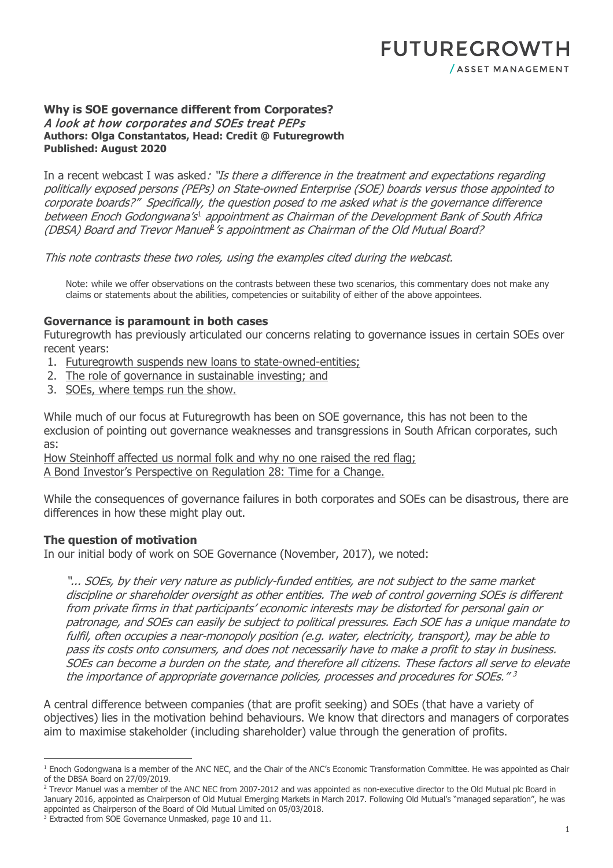#### **Why is SOE governance different from Corporates?**  A look at how corporates and SOEs treat PEPs **Authors: Olga Constantatos, Head: Credit @ Futuregrowth Published: August 2020**

In a recent webcast I was asked: "Is there a difference in the treatment and expectations regarding politically exposed persons (PEPs) on State-owned Enterprise (SOE) boards versus those appointed to corporate boards?" Specifically, the question posed to me asked what is the governance difference between Enoch Godongwana's<sup>[1](#page-0-0)</sup> appointment as Chairman of the Development Bank of South Africa (DBSA) Board and Trevor Manuel<sup>[2](#page-0-1)</sup>'s appointment as Chairman of the Old Mutual Board?

This note contrasts these two roles, using the examples cited during the webcast.

Note: while we offer observations on the contrasts between these two scenarios, this commentary does not make any claims or statements about the abilities, competencies or suitability of either of the above appointees.

# **Governance is paramount in both cases**

Futuregrowth has previously articulated our concerns relating to governance issues in certain SOEs over recent years:

- 1. [Futuregrowth suspends new loans to state-owned-entities;](https://www.futuregrowth.co.za/newsroom/futuregrowth-suspends-new-loans-to-state-owned-entities/)
- 2. [The role of governance in sustainable investing;](https://www.futuregrowth.co.za/newsroom/the-role-of-governance-in-sustainable-investing/) and
- 3. [SOEs, where temps run the show.](https://www.futuregrowth.co.za/newsroom/soes-where-temps-run-the-show/)

While much of our focus at Futuregrowth has been on SOE governance, this has not been to the exclusion of pointing out governance weaknesses and transgressions in South African corporates, such as:

[How Steinhoff affected us normal folk and why no one raised the red flag;](https://www.futuregrowth.co.za/newsroom/how-steinhoff-affected-us-normal-folk-and-why-no-one-raised-a-red-flag/) [A Bond Investor's Perspective on Regulation 28: Time for a Change.](https://www.futuregrowth.co.za/newsroom/a-bond-investor-s-perspective-on-regulation-28-time-for-a-change/)

While the consequences of governance failures in both corporates and SOEs can be disastrous, there are differences in how these might play out.

# **The question of motivation**

In our initial body of work on SOE Governance (November, 2017), we noted:

"... SOEs, by their very nature as publicly-funded entities, are not subject to the same market discipline or shareholder oversight as other entities. The web of control governing SOEs is different from private firms in that participants' economic interests may be distorted for personal gain or patronage, and SOEs can easily be subject to political pressures. Each SOE has a unique mandate to fulfil, often occupies a near-monopoly position (e.g. water, electricity, transport), may be able to pass its costs onto consumers, and does not necessarily have to make a profit to stay in business. SOEs can become a burden on the state, and therefore all citizens. These factors all serve to elevate the importance of appropriate governance policies, processes and procedures for SOEs."<sup>3</sup>

A central difference between companies (that are profit seeking) and SOEs (that have a variety of objectives) lies in the motivation behind behaviours. We know that directors and managers of corporates aim to maximise stakeholder (including shareholder) value through the generation of profits.

<span id="page-0-0"></span><sup>&</sup>lt;sup>1</sup> Enoch Godongwana is a member of the ANC NEC, and the Chair of the ANC's Economic Transformation Committee. He was appointed as Chair of the DBSA Board on 27/09/2019.

<span id="page-0-1"></span><sup>&</sup>lt;sup>2</sup> Trevor Manuel was a member of the ANC NEC from 2007-2012 and was appointed as non-executive director to the Old Mutual plc Board in January 2016, appointed as Chairperson of Old Mutual Emerging Markets in March 2017. Following Old Mutual's "managed separation", he was appointed as Chairperson of the Board of Old Mutual Limited on 05/03/2018.

<sup>&</sup>lt;sup>3</sup> Extracted from SOE Governance Unmasked, page 10 and 11.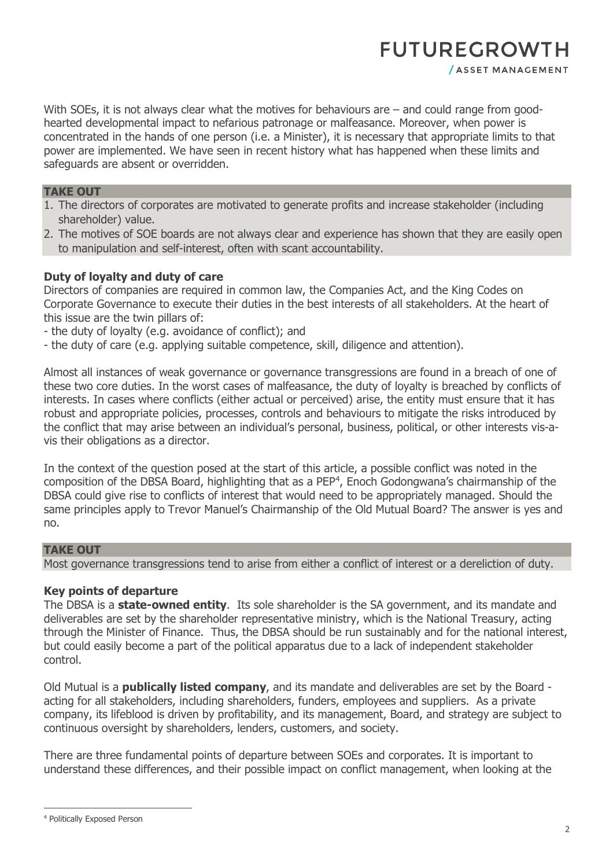# **FUTUREGROWTH**

With SOEs, it is not always clear what the motives for behaviours are – and could range from goodhearted developmental impact to nefarious patronage or malfeasance. Moreover, when power is concentrated in the hands of one person (i.e. a Minister), it is necessary that appropriate limits to that power are implemented. We have seen in recent history what has happened when these limits and safeguards are absent or overridden.

#### **TAKE OUT**

- 1. The directors of corporates are motivated to generate profits and increase stakeholder (including shareholder) value.
- 2. The motives of SOE boards are not always clear and experience has shown that they are easily open to manipulation and self-interest, often with scant accountability.

# **Duty of loyalty and duty of care**

Directors of companies are required in common law, the Companies Act, and the King Codes on Corporate Governance to execute their duties in the best interests of all stakeholders. At the heart of this issue are the twin pillars of:

- the duty of loyalty (e.g. avoidance of conflict); and
- the duty of care (e.g. applying suitable competence, skill, diligence and attention).

Almost all instances of weak governance or governance transgressions are found in a breach of one of these two core duties. In the worst cases of malfeasance, the duty of loyalty is breached by conflicts of interests. In cases where conflicts (either actual or perceived) arise, the entity must ensure that it has robust and appropriate policies, processes, controls and behaviours to mitigate the risks introduced by the conflict that may arise between an individual's personal, business, political, or other interests vis-avis their obligations as a director.

In the context of the question posed at the start of this article, a possible conflict was noted in the composition of the DBSA Board, highlighting that as a PEP<sup>[4](#page-1-0)</sup>, Enoch Godongwana's chairmanship of the DBSA could give rise to conflicts of interest that would need to be appropriately managed. Should the same principles apply to Trevor Manuel's Chairmanship of the Old Mutual Board? The answer is yes and no.

# **TAKE OUT**

Most governance transgressions tend to arise from either a conflict of interest or a dereliction of duty.

#### **Key points of departure**

The DBSA is a **state-owned entity**. Its sole shareholder is the SA government, and its mandate and deliverables are set by the shareholder representative ministry, which is the National Treasury, acting through the Minister of Finance. Thus, the DBSA should be run sustainably and for the national interest, but could easily become a part of the political apparatus due to a lack of independent stakeholder control.

Old Mutual is a **publically listed company**, and its mandate and deliverables are set by the Board acting for all stakeholders, including shareholders, funders, employees and suppliers. As a private company, its lifeblood is driven by profitability, and its management, Board, and strategy are subject to continuous oversight by shareholders, lenders, customers, and society.

There are three fundamental points of departure between SOEs and corporates. It is important to understand these differences, and their possible impact on conflict management, when looking at the

<span id="page-1-0"></span> <sup>4</sup> Politically Exposed Person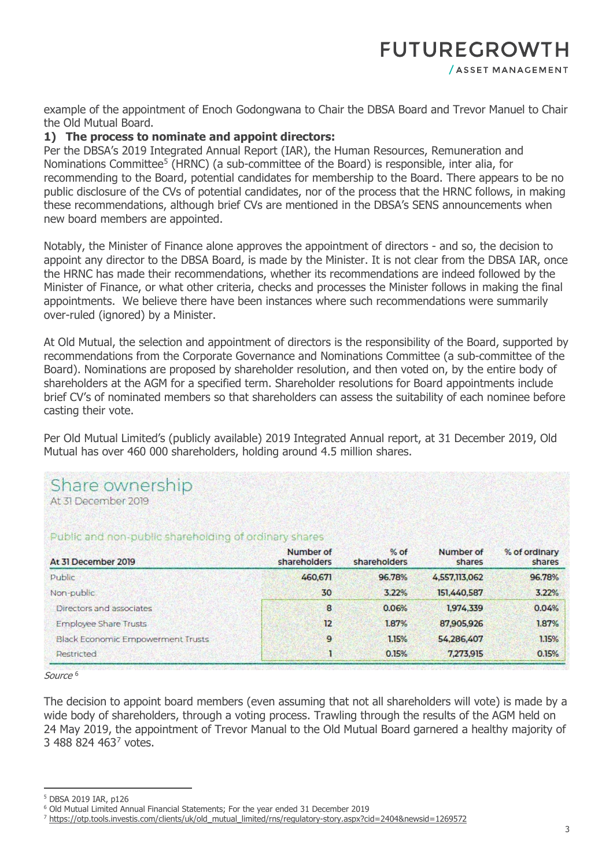# **FUTUREGROWTH**

/ ASSET MANAGEMENT

example of the appointment of Enoch Godongwana to Chair the DBSA Board and Trevor Manuel to Chair the Old Mutual Board.

# **1) The process to nominate and appoint directors:**

Per the DBSA's 2019 Integrated Annual Report (IAR), the Human Resources, Remuneration and Nominations Committee<sup>[5](#page-2-0)</sup> (HRNC) (a sub-committee of the Board) is responsible, inter alia, for recommending to the Board, potential candidates for membership to the Board. There appears to be no public disclosure of the CVs of potential candidates, nor of the process that the HRNC follows, in making these recommendations, although brief CVs are mentioned in the DBSA's SENS announcements when new board members are appointed.

Notably, the Minister of Finance alone approves the appointment of directors - and so, the decision to appoint any director to the DBSA Board, is made by the Minister. It is not clear from the DBSA IAR, once the HRNC has made their recommendations, whether its recommendations are indeed followed by the Minister of Finance, or what other criteria, checks and processes the Minister follows in making the final appointments. We believe there have been instances where such recommendations were summarily over-ruled (ignored) by a Minister.

At Old Mutual, the selection and appointment of directors is the responsibility of the Board, supported by recommendations from the Corporate Governance and Nominations Committee (a sub-committee of the Board). Nominations are proposed by shareholder resolution, and then voted on, by the entire body of shareholders at the AGM for a specified term. Shareholder resolutions for Board appointments include brief CV's of nominated members so that shareholders can assess the suitability of each nominee before casting their vote.

Per Old Mutual Limited's (publicly available) 2019 Integrated Annual report, at 31 December 2019, Old Mutual has over 460 000 shareholders, holding around 4.5 million shares.

| Share ownership<br>At 31 December 2019                |                           |                        |                     |                         |
|-------------------------------------------------------|---------------------------|------------------------|---------------------|-------------------------|
| Public and non-public shareholding of ordinary shares |                           |                        |                     |                         |
| At 31 December 2019                                   | Number of<br>shareholders | $%$ of<br>shareholders | Number of<br>shares | % of ordinary<br>shares |
| Public                                                | 460,671                   | 96.78%                 | 4,557,113,062       | 96.78%                  |
| Non-public                                            | 30                        | 3.22%                  | 151,440,587         | 3.22%                   |
| Directors and associates                              | 8                         | 0.06%                  | 1,974,339           | 0.04%                   |
| Employee Share Trusts                                 | 12                        | 1.87%                  | 87,905,926          | 1.87%                   |
| <b>Black Economic Empowerment Trusts</b>              | 9                         | 1.15%                  | 54,286,407          | 1.15%                   |
| Restricted                                            | 1                         | 0.15%                  | 7,273,915           | 0.15%                   |

Source<sup>[6](#page-2-1)</sup>

The decision to appoint board members (even assuming that not all shareholders will vote) is made by a wide body of shareholders, through a voting process. Trawling through the results of the AGM held on 24 May 2019, the appointment of Trevor Manual to the Old Mutual Board garnered a healthy majority of 3 488 824 463<sup>[7](#page-2-2)</sup> votes.

<span id="page-2-0"></span> <sup>5</sup> DBSA 2019 IAR, p126

<span id="page-2-1"></span><sup>6</sup> Old Mutual Limited Annual Financial Statements; For the year ended 31 December 2019

<span id="page-2-2"></span><sup>7</sup> [https://otp.tools.investis.com/clients/uk/old\\_mutual\\_limited/rns/regulatory-story.aspx?cid=2404&newsid=1269572](https://otp.tools.investis.com/clients/uk/old_mutual_limited/rns/regulatory-story.aspx?cid=2404&newsid=1269572)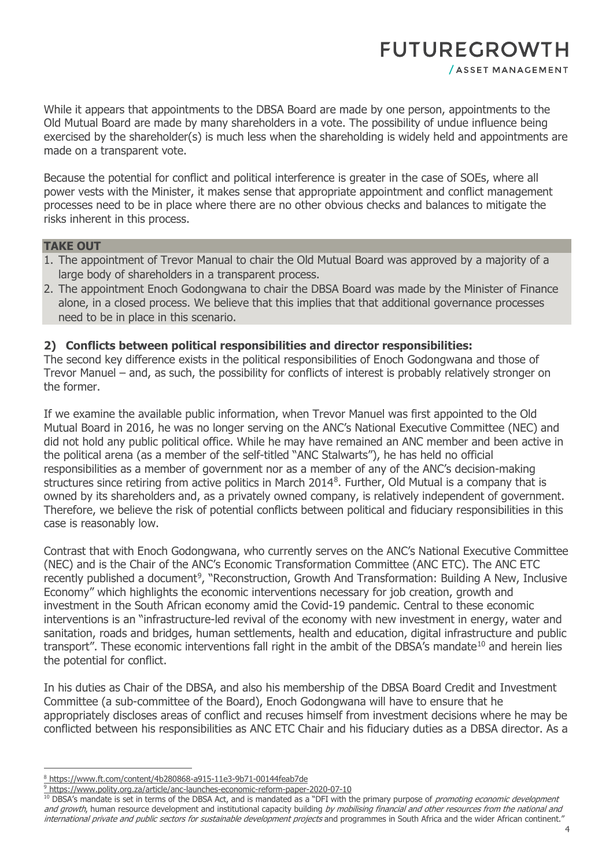# **FUTUREGROWTH** / ASSET MANAGEMENT

While it appears that appointments to the DBSA Board are made by one person, appointments to the Old Mutual Board are made by many shareholders in a vote. The possibility of undue influence being exercised by the shareholder(s) is much less when the shareholding is widely held and appointments are made on a transparent vote.

Because the potential for conflict and political interference is greater in the case of SOEs, where all power vests with the Minister, it makes sense that appropriate appointment and conflict management processes need to be in place where there are no other obvious checks and balances to mitigate the risks inherent in this process.

#### **TAKE OUT**

- 1. The appointment of Trevor Manual to chair the Old Mutual Board was approved by a majority of a large body of shareholders in a transparent process.
- 2. The appointment Enoch Godongwana to chair the DBSA Board was made by the Minister of Finance alone, in a closed process. We believe that this implies that that additional governance processes need to be in place in this scenario.

# **2) Conflicts between political responsibilities and director responsibilities:**

The second key difference exists in the political responsibilities of Enoch Godongwana and those of Trevor Manuel – and, as such, the possibility for conflicts of interest is probably relatively stronger on the former.

If we examine the available public information, when Trevor Manuel was first appointed to the Old Mutual Board in 2016, he was no longer serving on the ANC's National Executive Committee (NEC) and did not hold any public political office. While he may have remained an ANC member and been active in the political arena (as a member of the self-titled "ANC Stalwarts"), he has held no official responsibilities as a member of government nor as a member of any of the ANC's decision-making structures since retiring from active politics in March 2014[8](#page-3-0) . Further, Old Mutual is a company that is owned by its shareholders and, as a privately owned company, is relatively independent of government. Therefore, we believe the risk of potential conflicts between political and fiduciary responsibilities in this case is reasonably low.

Contrast that with Enoch Godongwana, who currently serves on the ANC's National Executive Committee (NEC) and is the Chair of the ANC's Economic Transformation Committee (ANC ETC). The ANC ETC recently published a document<sup>[9](#page-3-1)</sup>, "Reconstruction, Growth And Transformation: [Building](https://www.polity.org.za/topic/building) A New, Inclusive Economy" which highlights the economic interventions necessary for job creation, growth and investment in the South African economy amid the Covid-19 pandemic. Central to these economic interventions is an "infrastructure-led revival of the economy with new investment in energy, water and sanitation, roads and bridges, human settlements, health and education, digital infrastructure and public transport". These economic interventions fall right in the ambit of the DBSA's mandate<sup>10</sup> and herein lies the potential for conflict.

In his duties as Chair of the DBSA, and also his membership of the DBSA Board Credit and Investment Committee (a sub-committee of the Board), Enoch Godongwana will have to ensure that he appropriately discloses areas of conflict and recuses himself from investment decisions where he may be conflicted between his responsibilities as ANC ETC Chair and his fiduciary duties as a DBSA director. As a

<span id="page-3-1"></span>9 <https://www.polity.org.za/article/anc-launches-economic-reform-paper-2020-07-10>

<span id="page-3-2"></span><sup>10</sup> DBSA's mandate is set in terms of the DBSA Act, and is mandated as a "DFI with the primary purpose of *promoting economic development* and growth, human resource development and institutional capacity building by mobilising financial and other resources from the national and international private and public sectors for sustainable development projects and programmes in South Africa and the wider African continent."

<span id="page-3-0"></span> <sup>8</sup> <https://www.ft.com/content/4b280868-a915-11e3-9b71-00144feab7de>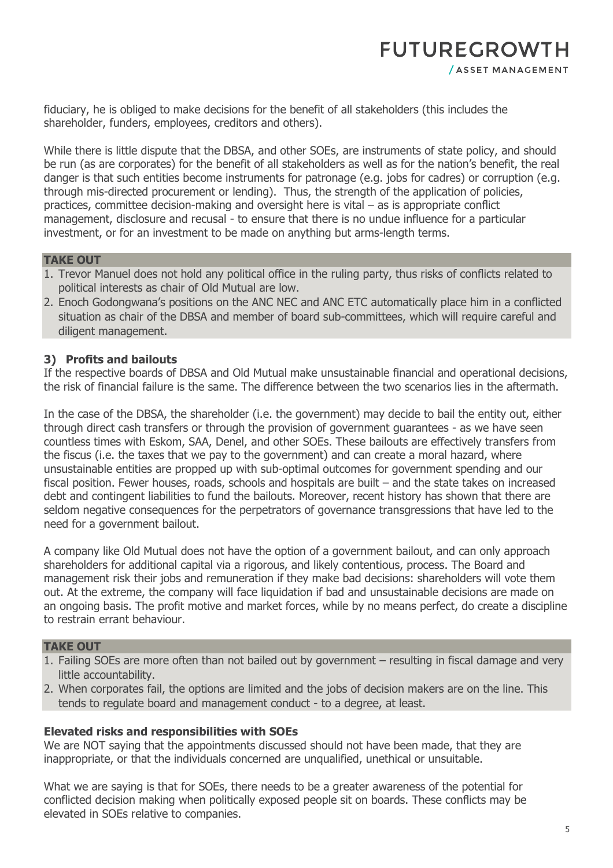fiduciary, he is obliged to make decisions for the benefit of all stakeholders (this includes the shareholder, funders, employees, creditors and others).

While there is little dispute that the DBSA, and other SOEs, are instruments of state policy, and should be run (as are corporates) for the benefit of all stakeholders as well as for the nation's benefit, the real danger is that such entities become instruments for patronage (e.g. jobs for cadres) or corruption (e.g. through mis-directed procurement or lending). Thus, the strength of the application of policies, practices, committee decision-making and oversight here is vital – as is appropriate conflict management, disclosure and recusal - to ensure that there is no undue influence for a particular investment, or for an investment to be made on anything but arms-length terms.

# **TAKE OUT**

- 1. Trevor Manuel does not hold any political office in the ruling party, thus risks of conflicts related to political interests as chair of Old Mutual are low.
- 2. Enoch Godongwana's positions on the ANC NEC and ANC ETC automatically place him in a conflicted situation as chair of the DBSA and member of board sub-committees, which will require careful and diligent management.

# **3) Profits and bailouts**

If the respective boards of DBSA and Old Mutual make unsustainable financial and operational decisions, the risk of financial failure is the same. The difference between the two scenarios lies in the aftermath.

In the case of the DBSA, the shareholder (i.e. the government) may decide to bail the entity out, either through direct cash transfers or through the provision of government guarantees - as we have seen countless times with Eskom, SAA, Denel, and other SOEs. These bailouts are effectively transfers from the fiscus (i.e. the taxes that we pay to the government) and can create a moral hazard, where unsustainable entities are propped up with sub-optimal outcomes for government spending and our fiscal position. Fewer houses, roads, schools and hospitals are built – and the state takes on increased debt and contingent liabilities to fund the bailouts. Moreover, recent history has shown that there are seldom negative consequences for the perpetrators of governance transgressions that have led to the need for a government bailout.

A company like Old Mutual does not have the option of a government bailout, and can only approach shareholders for additional capital via a rigorous, and likely contentious, process. The Board and management risk their jobs and remuneration if they make bad decisions: shareholders will vote them out. At the extreme, the company will face liquidation if bad and unsustainable decisions are made on an ongoing basis. The profit motive and market forces, while by no means perfect, do create a discipline to restrain errant behaviour.

# **TAKE OUT**

- 1. Failing SOEs are more often than not bailed out by government resulting in fiscal damage and very little accountability.
- 2. When corporates fail, the options are limited and the jobs of decision makers are on the line. This tends to regulate board and management conduct - to a degree, at least.

# **Elevated risks and responsibilities with SOEs**

We are NOT saying that the appointments discussed should not have been made, that they are inappropriate, or that the individuals concerned are unqualified, unethical or unsuitable.

What we are saying is that for SOEs, there needs to be a greater awareness of the potential for conflicted decision making when politically exposed people sit on boards. These conflicts may be elevated in SOEs relative to companies.